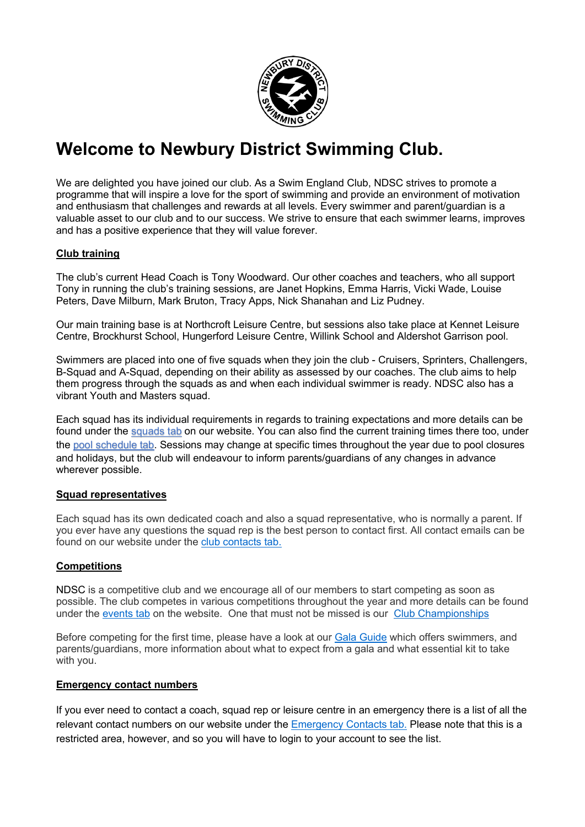

# **Welcome to Newbury District Swimming Club.**

We are delighted you have joined our club. As a Swim England Club, NDSC strives to promote a programme that will inspire a love for the sport of swimming and provide an environment of motivation and enthusiasm that challenges and rewards at all levels. Every swimmer and parent/guardian is a valuable asset to our club and to our success. We strive to ensure that each swimmer learns, improves and has a positive experience that they will value forever.

# **Club training**

The club's current Head Coach is Tony Woodward. Our other coaches and teachers, who all support Tony in running the club's training sessions, are Janet Hopkins, Emma Harris, Vicki Wade, Louise Peters, Dave Milburn, Mark Bruton, Tracy Apps, Nick Shanahan and Liz Pudney.

Our main training base is at Northcroft Leisure Centre, but sessions also take place at Kennet Leisure Centre, Brockhurst School, Hungerford Leisure Centre, Willink School and Aldershot Garrison pool.

Swimmers are placed into one of five squads when they join the club - Cruisers, Sprinters, Challengers, B-Squad and A-Squad, depending on their ability as assessed by our coaches. The club aims to help them progress through the squads as and when each individual swimmer is ready. NDSC also has a vibrant Youth and Masters squad.

Each squad has its individual requirements in regards to training expectations and more details can be found under the squads tab on our website. You can also find the current training times there too, under the pool schedule tab. Sessions may change at specific times throughout the year due to pool closures and holidays, but the club will endeavour to inform parents/guardians of any changes in advance wherever possible.

# **Squad representatives**

Each squad has its own dedicated coach and also a squad representative, who is normally a parent. If you ever have any questions the squad rep is the best person to contact first. All contact emails can be found on our website under the club contacts tab.

# **Competitions**

NDSC is a competitive club and we encourage all of our members to start competing as soon as possible. The club competes in various competitions throughout the year and more details can be found under the events tab on the website. One that must not be missed is our Club Championships

Before competing for the first time, please have a look at our Gala Guide which offers swimmers, and parents/guardians, more information about what to expect from a gala and what essential kit to take with you.

### **Emergency contact numbers**

If you ever need to contact a coach, squad rep or leisure centre in an emergency there is a list of all the relevant contact numbers on our website under the Emergency Contacts tab. Please note that this is a restricted area, however, and so you will have to login to your account to see the list.